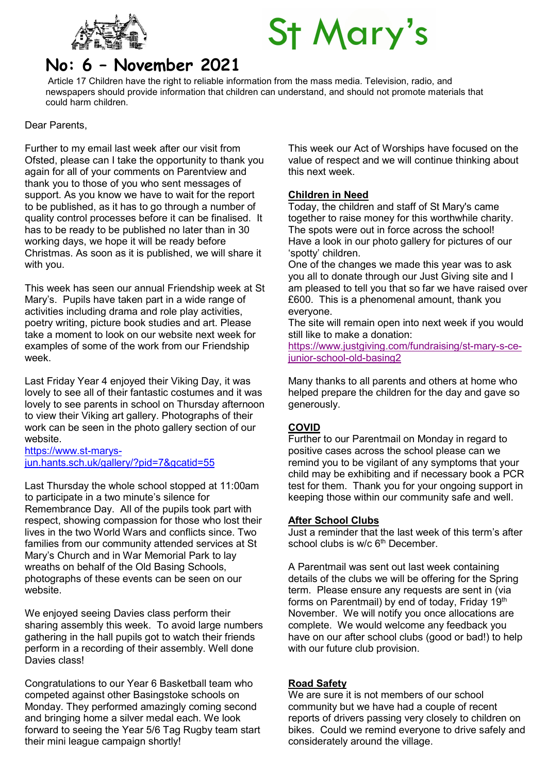

# **St Mary's**

# No: 6 – November 2021

Article 17 Children have the right to reliable information from the mass media. Television, radio, and newspapers should provide information that children can understand, and should not promote materials that could harm children.

Dear Parents,

Further to my email last week after our visit from Ofsted, please can I take the opportunity to thank you again for all of your comments on Parentview and thank you to those of you who sent messages of support. As you know we have to wait for the report to be published, as it has to go through a number of quality control processes before it can be finalised. It has to be ready to be published no later than in 30 working days, we hope it will be ready before Christmas. As soon as it is published, we will share it with you.

This week has seen our annual Friendship week at St Mary's. Pupils have taken part in a wide range of activities including drama and role play activities, poetry writing, picture book studies and art. Please take a moment to look on our website next week for examples of some of the work from our Friendship week.

Last Friday Year 4 enjoyed their Viking Day, it was lovely to see all of their fantastic costumes and it was lovely to see parents in school on Thursday afternoon to view their Viking art gallery. Photographs of their work can be seen in the photo gallery section of our website.

https://www.st-marysjun.hants.sch.uk/gallery/?pid=7&gcatid=55

Last Thursday the whole school stopped at 11:00am to participate in a two minute's silence for Remembrance Day. All of the pupils took part with respect, showing compassion for those who lost their lives in the two World Wars and conflicts since. Two families from our community attended services at St Mary's Church and in War Memorial Park to lay wreaths on behalf of the Old Basing Schools, photographs of these events can be seen on our website.

We enjoyed seeing Davies class perform their sharing assembly this week. To avoid large numbers gathering in the hall pupils got to watch their friends perform in a recording of their assembly. Well done Davies class!

Congratulations to our Year 6 Basketball team who competed against other Basingstoke schools on Monday. They performed amazingly coming second and bringing home a silver medal each. We look forward to seeing the Year 5/6 Tag Rugby team start their mini league campaign shortly!

This week our Act of Worships have focused on the value of respect and we will continue thinking about this next week.

### Children in Need

Today, the children and staff of St Mary's came together to raise money for this worthwhile charity. The spots were out in force across the school! Have a look in our photo gallery for pictures of our 'spotty' children.

One of the changes we made this year was to ask you all to donate through our Just Giving site and I am pleased to tell you that so far we have raised over £600. This is a phenomenal amount, thank you everyone.

The site will remain open into next week if you would still like to make a donation:

https://www.justgiving.com/fundraising/st-mary-s-cejunior-school-old-basing2

Many thanks to all parents and others at home who helped prepare the children for the day and gave so generously.

#### **COVID**

Further to our Parentmail on Monday in regard to positive cases across the school please can we remind you to be vigilant of any symptoms that your child may be exhibiting and if necessary book a PCR test for them. Thank you for your ongoing support in keeping those within our community safe and well.

#### After School Clubs

Just a reminder that the last week of this term's after school clubs is w/c 6<sup>th</sup> December.

A Parentmail was sent out last week containing details of the clubs we will be offering for the Spring term. Please ensure any requests are sent in (via forms on Parentmail) by end of today, Friday 19<sup>th</sup> November. We will notify you once allocations are complete. We would welcome any feedback you have on our after school clubs (good or bad!) to help with our future club provision.

#### Road Safety

We are sure it is not members of our school community but we have had a couple of recent reports of drivers passing very closely to children on bikes. Could we remind everyone to drive safely and considerately around the village.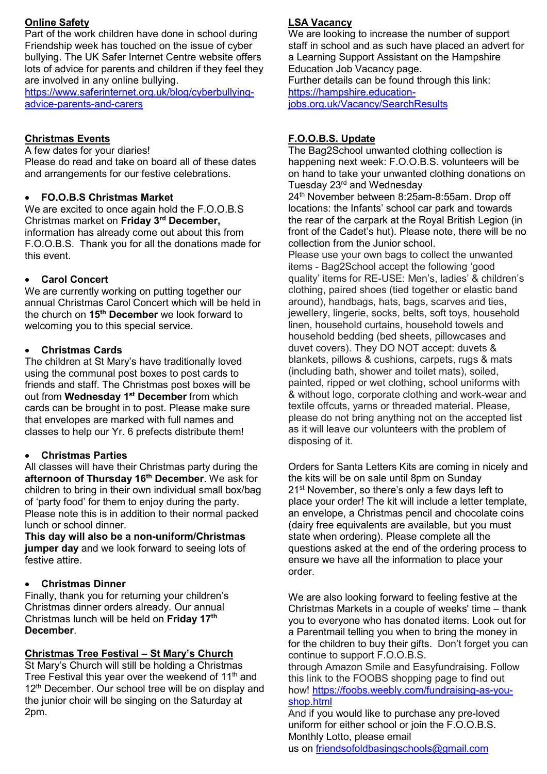#### Online Safety

Part of the work children have done in school during Friendship week has touched on the issue of cyber bullying. The UK Safer Internet Centre website offers lots of advice for parents and children if they feel they are involved in any online bullying.

https://www.saferinternet.org.uk/blog/cyberbullyingadvice-parents-and-carers

# Christmas Events

A few dates for your diaries! Please do read and take on board all of these dates and arrangements for our festive celebrations.

# FO.O.B.S Christmas Market

We are excited to once again hold the F.O.O.B.S Christmas market on Friday 3rd December, information has already come out about this from F.O.O.B.S. Thank you for all the donations made for this event.

# Carol Concert

We are currently working on putting together our annual Christmas Carol Concert which will be held in the church on 15<sup>th</sup> December we look forward to welcoming you to this special service.

# Christmas Cards

The children at St Mary's have traditionally loved using the communal post boxes to post cards to friends and staff. The Christmas post boxes will be out from Wednesday 1<sup>st</sup> December from which cards can be brought in to post. Please make sure that envelopes are marked with full names and classes to help our Yr. 6 prefects distribute them!

# Christmas Parties

All classes will have their Christmas party during the afternoon of Thursday 16<sup>th</sup> December. We ask for children to bring in their own individual small box/bag of 'party food' for them to enjoy during the party. Please note this is in addition to their normal packed lunch or school dinner.

This day will also be a non-uniform/Christmas jumper day and we look forward to seeing lots of festive attire.

# Christmas Dinner

Finally, thank you for returning your children's Christmas dinner orders already. Our annual Christmas lunch will be held on Friday 17<sup>th</sup> **December** 

# Christmas Tree Festival – St Mary's Church

St Mary's Church will still be holding a Christmas Tree Festival this year over the weekend of 11<sup>th</sup> and 12<sup>th</sup> December. Our school tree will be on display and the junior choir will be singing on the Saturday at 2pm.

# LSA Vacancy

We are looking to increase the number of support staff in school and as such have placed an advert for a Learning Support Assistant on the Hampshire Education Job Vacancy page. Further details can be found through this link: https://hampshire.educationjobs.org.uk/Vacancy/SearchResults

# F.O.O.B.S. Update

The Bag2School unwanted clothing collection is happening next week: F.O.O.B.S. volunteers will be on hand to take your unwanted clothing donations on Tuesday 23<sup>rd</sup> and Wednesday

24th November between 8:25am-8:55am. Drop off locations: the Infants' school car park and towards the rear of the carpark at the Royal British Legion (in front of the Cadet's hut). Please note, there will be no collection from the Junior school.

Please use your own bags to collect the unwanted items - Bag2School accept the following 'good quality' items for RE-USE: Men's, ladies' & children's clothing, paired shoes (tied together or elastic band around), handbags, hats, bags, scarves and ties, jewellery, lingerie, socks, belts, soft toys, household linen, household curtains, household towels and household bedding (bed sheets, pillowcases and duvet covers). They DO NOT accept: duvets & blankets, pillows & cushions, carpets, rugs & mats (including bath, shower and toilet mats), soiled, painted, ripped or wet clothing, school uniforms with & without logo, corporate clothing and work-wear and textile offcuts, yarns or threaded material. Please, please do not bring anything not on the accepted list as it will leave our volunteers with the problem of disposing of it.

Orders for Santa Letters Kits are coming in nicely and the kits will be on sale until 8pm on Sunday 21<sup>st</sup> November, so there's only a few days left to place your order! The kit will include a letter template, an envelope, a Christmas pencil and chocolate coins (dairy free equivalents are available, but you must state when ordering). Please complete all the questions asked at the end of the ordering process to ensure we have all the information to place your order.

We are also looking forward to feeling festive at the Christmas Markets in a couple of weeks' time – thank you to everyone who has donated items. Look out for a Parentmail telling you when to bring the money in for the children to buy their gifts. Don't forget you can continue to support F.O.O.B.S.

through Amazon Smile and Easyfundraising. Follow this link to the FOOBS shopping page to find out how! https://foobs.weebly.com/fundraising-as-youshop.html

And if you would like to purchase any pre-loved uniform for either school or join the F.O.O.B.S. Monthly Lotto, please email us on friendsofoldbasingschools@gmail.com